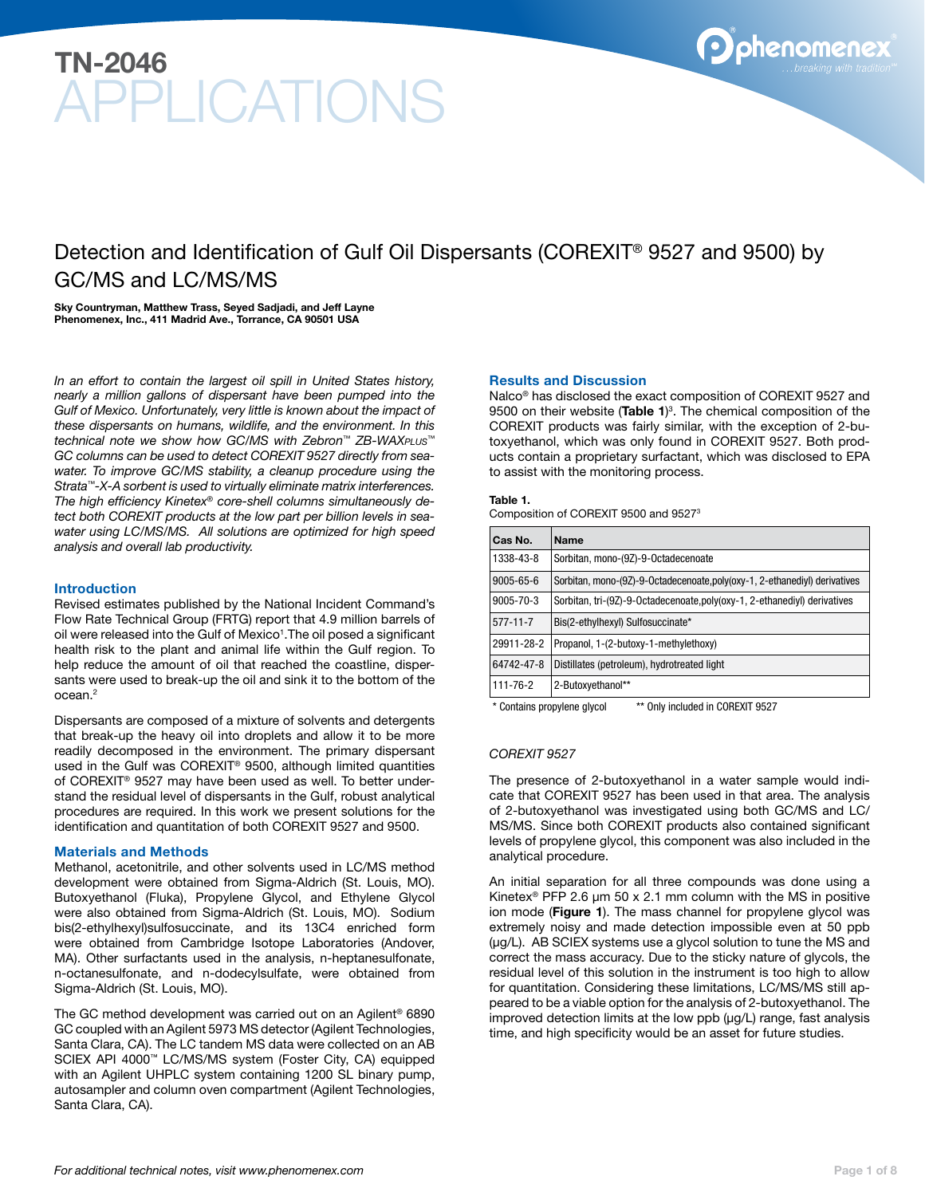

## Detection and Identification of Gulf Oil Dispersants (COREXIT® 9527 and 9500) by GC/MS and LC/MS/MS

Sky Countryman, Matthew Trass, Seyed Sadjadi, and Jeff Layne Phenomenex, Inc., 411 Madrid Ave., Torrance, CA 90501 USA

*In an effort to contain the largest oil spill in United States history, nearly a million gallons of dispersant have been pumped into the Gulf of Mexico. Unfortunately, very little is known about the impact of these dispersants on humans, wildlife, and the environment. In this technical note we show how GC/MS with Zebron™ ZB-WAXPLUS™ GC columns can be used to detect COREXIT 9527 directly from seawater. To improve GC/MS stability, a cleanup procedure using the Strata™-X-A sorbent is used to virtually eliminate matrix interferences. The high efficiency Kinetex® core-shell columns simultaneously detect both COREXIT products at the low part per billion levels in seawater using LC/MS/MS. All solutions are optimized for high speed analysis and overall lab productivity.*

### Introduction

Revised estimates published by the National Incident Command's Flow Rate Technical Group (FRTG) report that 4.9 million barrels of oil were released into the Gulf of Mexico<sup>1</sup>. The oil posed a significant health risk to the plant and animal life within the Gulf region. To help reduce the amount of oil that reached the coastline, dispersants were used to break-up the oil and sink it to the bottom of the ocean.2

Dispersants are composed of a mixture of solvents and detergents that break-up the heavy oil into droplets and allow it to be more readily decomposed in the environment. The primary dispersant used in the Gulf was COREXIT® 9500, although limited quantities of COREXIT® 9527 may have been used as well. To better understand the residual level of dispersants in the Gulf, robust analytical procedures are required. In this work we present solutions for the identification and quantitation of both COREXIT 9527 and 9500.

### Materials and Methods

Methanol, acetonitrile, and other solvents used in LC/MS method development were obtained from Sigma-Aldrich (St. Louis, MO). Butoxyethanol (Fluka), Propylene Glycol, and Ethylene Glycol were also obtained from Sigma-Aldrich (St. Louis, MO). Sodium bis(2-ethylhexyl)sulfosuccinate, and its 13C4 enriched form were obtained from Cambridge Isotope Laboratories (Andover, MA). Other surfactants used in the analysis, n-heptanesulfonate, n-octanesulfonate, and n-dodecylsulfate, were obtained from Sigma-Aldrich (St. Louis, MO).

The GC method development was carried out on an Agilent® 6890 GC coupled with an Agilent 5973 MS detector (Agilent Technologies, Santa Clara, CA). The LC tandem MS data were collected on an AB Sciex API 4000™ LC/MS/MS system (Foster City, CA) equipped with an Agilent UHPLC system containing 1200 SL binary pump, autosampler and column oven compartment (Agilent Technologies, Santa Clara, CA).

### Results and Discussion

Nalco® has disclosed the exact composition of COREXIT 9527 and 9500 on their website (Table 1)<sup>3</sup>. The chemical composition of the COREXIT products was fairly similar, with the exception of 2-butoxyethanol, which was only found in COREXIT 9527. Both products contain a proprietary surfactant, which was disclosed to EPA to assist with the monitoring process.

### Table 1.

Composition of COREXIT 9500 and 95273

| <b>Name</b>                                                               |
|---------------------------------------------------------------------------|
| Sorbitan, mono-(9Z)-9-Octadecenoate                                       |
| Sorbitan, mono-(9Z)-9-Octadecenoate.poly(oxy-1, 2-ethanediyl) derivatives |
| Sorbitan, tri-(9Z)-9-Octadecenoate, poly(oxy-1, 2-ethanediyl) derivatives |
| Bis(2-ethylhexyl) Sulfosuccinate*                                         |
| Propanol, 1-(2-butoxy-1-methylethoxy)                                     |
| Distillates (petroleum), hydrotreated light                               |
| 2-Butoxyethanol**                                                         |
|                                                                           |

\* Contains propylene glycol \*\* Only included in COREXIT 9527

### *COREXIT 9527*

The presence of 2-butoxyethanol in a water sample would indicate that COREXIT 9527 has been used in that area. The analysis of 2-butoxyethanol was investigated using both GC/MS and LC/ MS/MS. Since both COREXIT products also contained significant levels of propylene glycol, this component was also included in the analytical procedure.

An initial separation for all three compounds was done using a Kinetex<sup>®</sup> PFP 2.6  $\mu$ m 50 x 2.1 mm column with the MS in positive ion mode (Figure 1). The mass channel for propylene glycol was extremely noisy and made detection impossible even at 50 ppb (µg/L). AB SCIEX systems use a glycol solution to tune the MS and correct the mass accuracy. Due to the sticky nature of glycols, the residual level of this solution in the instrument is too high to allow for quantitation. Considering these limitations, LC/MS/MS still appeared to be a viable option for the analysis of 2-butoxyethanol. The improved detection limits at the low ppb (µg/L) range, fast analysis time, and high specificity would be an asset for future studies.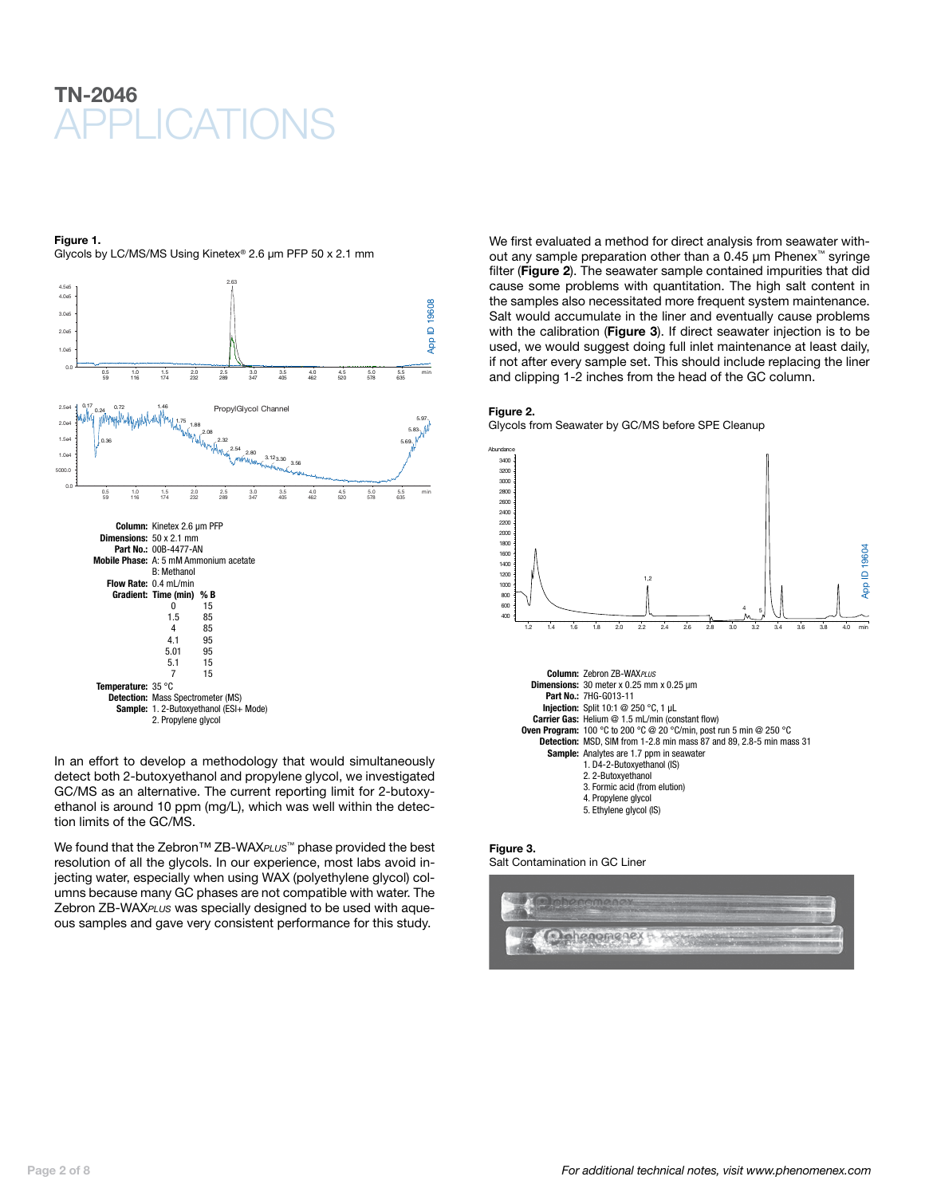

### Figure 1.

Glycols by LC/MS/MS Using Kinetex® 2.6 µm PFP 50 x 2.1 mm



In an effort to develop a methodology that would simultaneously detect both 2-butoxyethanol and propylene glycol, we investigated GC/MS as an alternative. The current reporting limit for 2-butoxyethanol is around 10 ppm (mg/L), which was well within the detection limits of the GC/MS.

We found that the Zebron™ ZB-WAX*PLUS*™ phase provided the best resolution of all the glycols. In our experience, most labs avoid injecting water, especially when using WAX (polyethylene glycol) columns because many GC phases are not compatible with water. The Zebron ZB-WAX*PLUS* was specially designed to be used with aqueous samples and gave very consistent performance for this study.

We first evaluated a method for direct analysis from seawater without any sample preparation other than a 0.45 μm Phenex™ syringe filter (Figure 2). The seawater sample contained impurities that did cause some problems with quantitation. The high salt content in the samples also necessitated more frequent system maintenance. Salt would accumulate in the liner and eventually cause problems with the calibration (Figure 3). If direct seawater injection is to be used, we would suggest doing full inlet maintenance at least daily, if not after every sample set. This should include replacing the liner and clipping 1-2 inches from the head of the GC column.

#### Figure 2.

Glycols from Seawater by GC/MS before SPE Cleanup



### Figure 3.

Salt Contamination in GC Liner

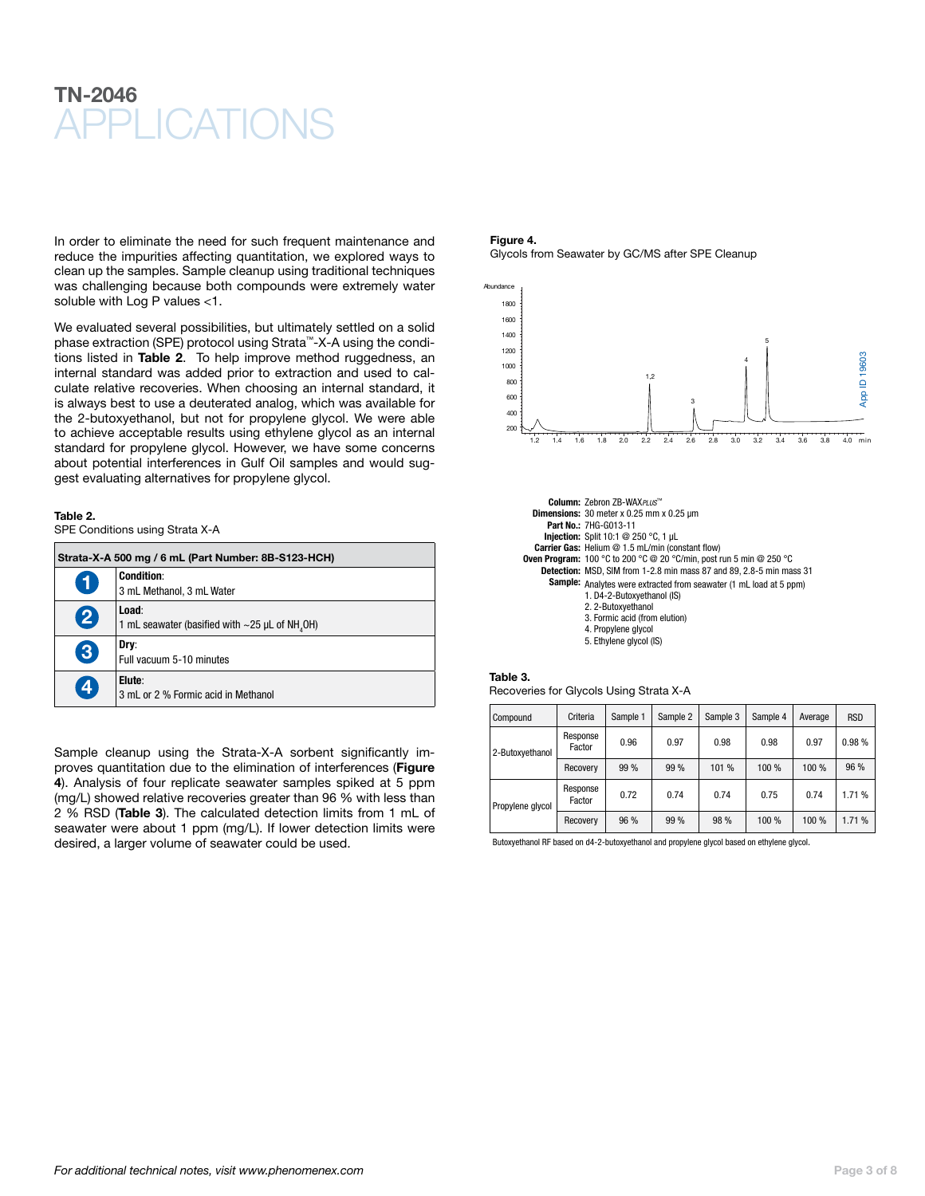In order to eliminate the need for such frequent maintenance and reduce the impurities affecting quantitation, we explored ways to clean up the samples. Sample cleanup using traditional techniques was challenging because both compounds were extremely water soluble with Log P values <1.

We evaluated several possibilities, but ultimately settled on a solid phase extraction (SPE) protocol using Strata™-X-A using the conditions listed in Table 2. To help improve method ruggedness, an internal standard was added prior to extraction and used to calculate relative recoveries. When choosing an internal standard, it is always best to use a deuterated analog, which was available for the 2-butoxyethanol, but not for propylene glycol. We were able to achieve acceptable results using ethylene glycol as an internal standard for propylene glycol. However, we have some concerns about potential interferences in Gulf Oil samples and would suggest evaluating alternatives for propylene glycol.

### Table 2.

SPE Conditions using Strata X-A

| Strata-X-A 500 mg / 6 mL (Part Number: 8B-S123-HCH) |                                                                           |  |  |  |
|-----------------------------------------------------|---------------------------------------------------------------------------|--|--|--|
| $\bullet$                                           | <b>Condition:</b><br>3 mL Methanol, 3 mL Water                            |  |  |  |
| 2                                                   | Load:<br>1 mL seawater (basified with $\sim$ 25 µL of NH <sub>4</sub> OH) |  |  |  |
| 3                                                   | Dry:<br>Full vacuum 5-10 minutes                                          |  |  |  |
| $\boldsymbol{A}$                                    | Elute:<br>3 mL or 2 % Formic acid in Methanol                             |  |  |  |

Sample cleanup using the Strata-X-A sorbent significantly improves quantitation due to the elimination of interferences (Figure 4). Analysis of four replicate seawater samples spiked at 5 ppm (mg/L) showed relative recoveries greater than 96 % with less than 2 % RSD (Table 3). The calculated detection limits from 1 mL of seawater were about 1 ppm (mg/L). If lower detection limits were desired, a larger volume of seawater could be used.

### Figure 4. Glycols from Seawater by GC/MS after SPE Cleanup



| Column: Zebron ZB-WAXPLUS™                                                  |  |  |  |  |
|-----------------------------------------------------------------------------|--|--|--|--|
| <b>Dimensions:</b> 30 meter $x$ 0.25 mm $x$ 0.25 $\mu$ m                    |  |  |  |  |
| Part No.: 7HG-G013-11                                                       |  |  |  |  |
| <b>Injection:</b> Split 10:1 @ 250 °C, 1 $\mu$ L                            |  |  |  |  |
| Carrier Gas: Helium @ 1.5 mL/min (constant flow)                            |  |  |  |  |
| <b>Oven Program:</b> 100 °C to 200 °C @ 20 °C/min, post run 5 min @ 250 °C  |  |  |  |  |
| <b>Detection:</b> MSD, SIM from 1-2.8 min mass 87 and 89, 2.8-5 min mass 31 |  |  |  |  |
| <b>Sample:</b> Analytes were extracted from seawater (1 mL load at 5 ppm)   |  |  |  |  |
| 1. D4-2-Butoxyethanol (IS)                                                  |  |  |  |  |
| 2. 2-Butoxyethanol                                                          |  |  |  |  |
| 3. Formic acid (from elution)                                               |  |  |  |  |
| 4. Propylene glycol                                                         |  |  |  |  |
| 5. Ethylene glycol (IS)                                                     |  |  |  |  |

### Table 3.

Recoveries for Glycols Using Strata X-A

| Compound         | Criteria           | Sample 1 | Sample 2 | Sample 3 | Sample 4 | Average | <b>RSD</b> |
|------------------|--------------------|----------|----------|----------|----------|---------|------------|
| 2-Butoxyethanol  | Response<br>Factor | 0.96     | 0.97     | 0.98     | 0.98     | 0.97    | 0.98%      |
|                  | Recovery           | 99 %     | 99%      | 101 %    | 100 %    | 100 %   | 96 %       |
| Propylene glycol | Response<br>Factor | 0.72     | 0.74     | 0.74     | 0.75     | 0.74    | 1.71 %     |
|                  | Recovery           | 96 %     | 99 %     | 98 %     | 100 %    | 100 %   | 1.71 %     |

Butoxyethanol RF based on d4-2-butoxyethanol and propylene glycol based on ethylene glycol.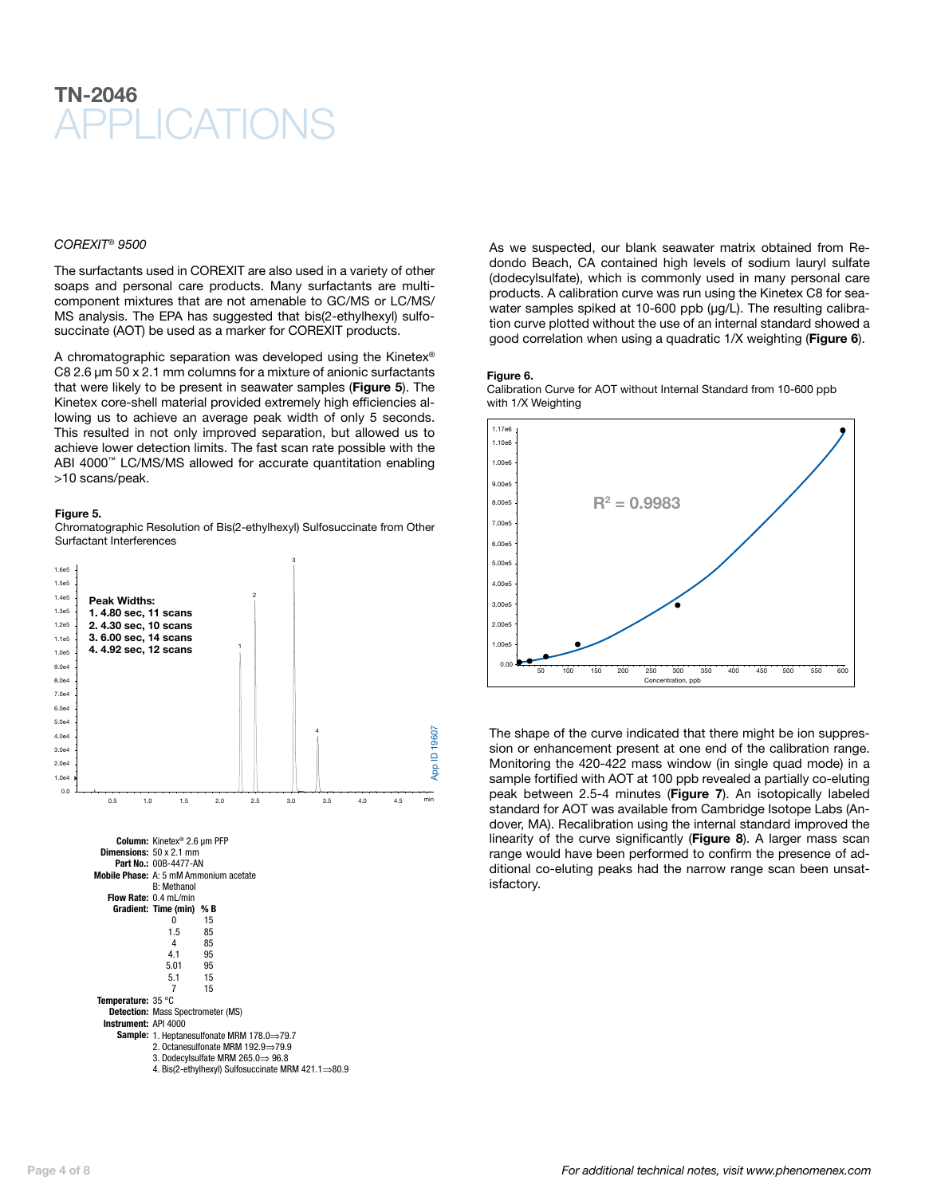### *COREXIT® 9500*

The surfactants used in COREXIT are also used in a variety of other soaps and personal care products. Many surfactants are multicomponent mixtures that are not amenable to GC/MS or LC/MS/ MS analysis. The EPA has suggested that bis(2-ethylhexyl) sulfosuccinate (AOT) be used as a marker for COREXIT products.

A chromatographic separation was developed using the Kinetex® C8 2.6 μm 50 x 2.1 mm columns for a mixture of anionic surfactants that were likely to be present in seawater samples (Figure 5). The Kinetex core-shell material provided extremely high efficiencies allowing us to achieve an average peak width of only 5 seconds. This resulted in not only improved separation, but allowed us to achieve lower detection limits. The fast scan rate possible with the ABI 4000<sup>™</sup> LC/MS/MS allowed for accurate quantitation enabling >10 scans/peak.

### Figure 5.

Chromatographic Resolution of Bis(2-ethylhexyl) Sulfosuccinate from Other Surfactant Interferences



As we suspected, our blank seawater matrix obtained from Redondo Beach, CA contained high levels of sodium lauryl sulfate (dodecylsulfate), which is commonly used in many personal care products. A calibration curve was run using the Kinetex C8 for seawater samples spiked at 10-600 ppb (µg/L). The resulting calibration curve plotted without the use of an internal standard showed a good correlation when using a quadratic 1/X weighting (Figure 6).

### Figure 6.

Calibration Curve for AOT without Internal Standard from 10-600 ppb with 1/X Weighting



The shape of the curve indicated that there might be ion suppression or enhancement present at one end of the calibration range. Monitoring the 420-422 mass window (in single quad mode) in a sample fortified with AOT at 100 ppb revealed a partially co-eluting peak between 2.5-4 minutes (Figure 7). An isotopically labeled standard for AOT was available from Cambridge Isotope Labs (Andover, MA). Recalibration using the internal standard improved the linearity of the curve significantly (Figure 8). A larger mass scan range would have been performed to confirm the presence of additional co-eluting peaks had the narrow range scan been unsatisfactory.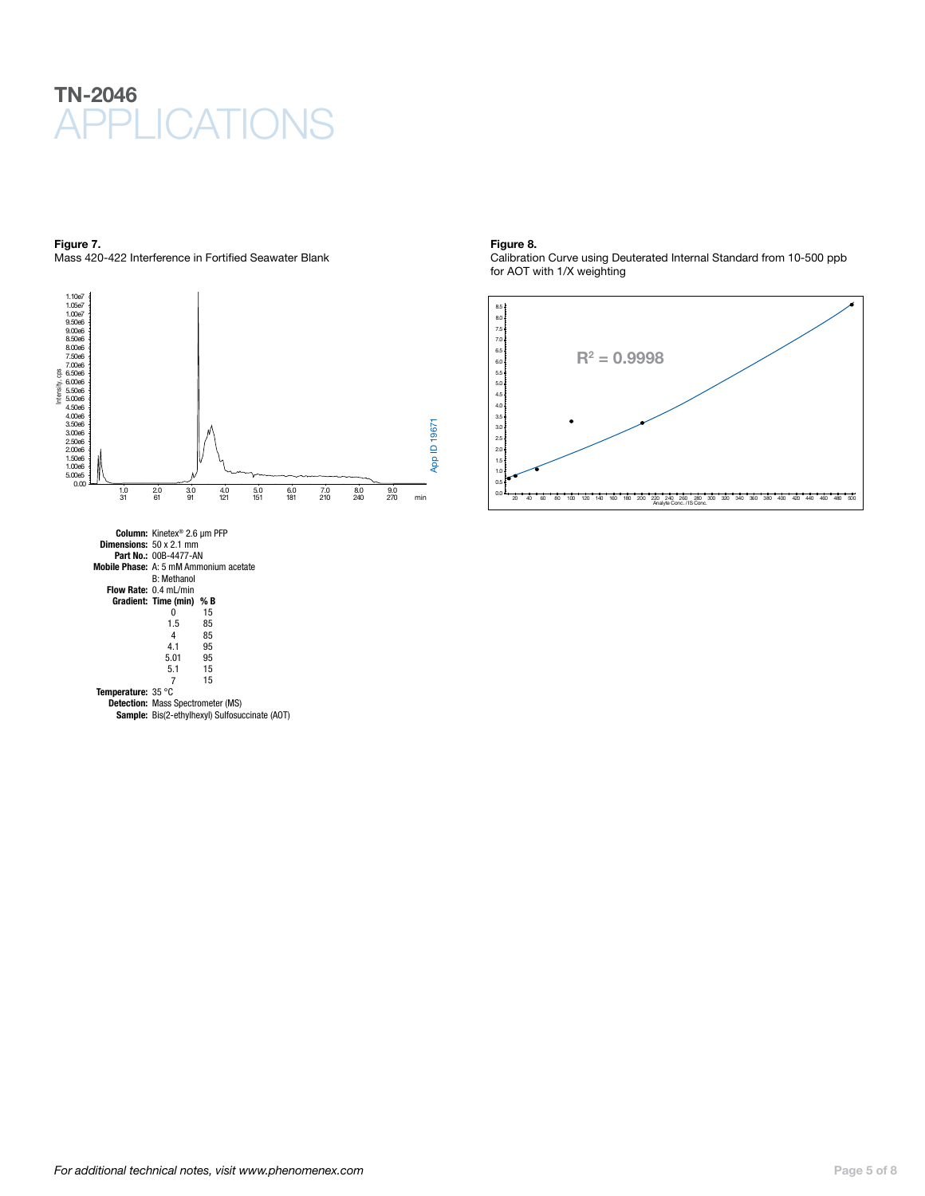

Figure 7. Mass 420-422 Interference in Fortified Seawater Blank



Column: Kinetex® 2.6 µm PFP Dimensions: 50 x 2.1 mm Part No.: 00B-4477-AN Mobile Phase: A: 5 mM Ammonium acetate B: Methanol Flow Rate: 0.4 mL/min Gradient: Time (min) % B 0 15 1.5 85 4 85 4.1 95 5.01 95 15

5.1 7

Temperature: 35 °C Detection: Mass Spectrometer (MS) 15

Sample: Bis(2-ethylhexyl) Sulfosuccinate (AOT)

### Figure 8.

Calibration Curve using Deuterated Internal Standard from 10-500 ppb for AOT with 1/X weighting

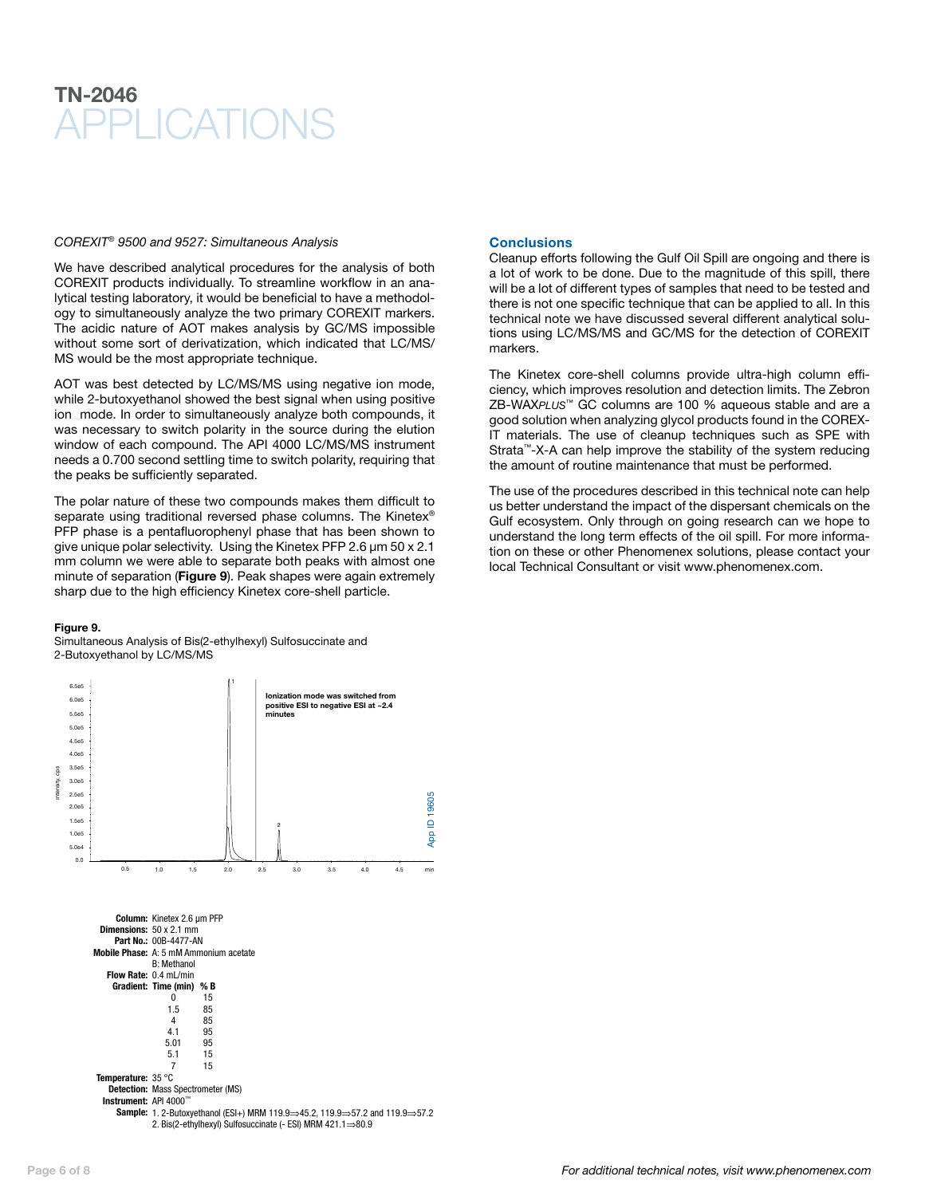### *COREXIT® 9500 and 9527: Simultaneous Analysis*

We have described analytical procedures for the analysis of both COREXIT products individually. To streamline workflow in an analytical testing laboratory, it would be beneficial to have a methodology to simultaneously analyze the two primary COREXIT markers. The acidic nature of AOT makes analysis by GC/MS impossible without some sort of derivatization, which indicated that LC/MS/ MS would be the most appropriate technique.

AOT was best detected by LC/MS/MS using negative ion mode, while 2-butoxyethanol showed the best signal when using positive ion mode. In order to simultaneously analyze both compounds, it was necessary to switch polarity in the source during the elution window of each compound. The API 4000 LC/MS/MS instrument needs a 0.700 second settling time to switch polarity, requiring that the peaks be sufficiently separated.

The polar nature of these two compounds makes them difficult to separate using traditional reversed phase columns. The Kinetex® PFP phase is a pentafluorophenyl phase that has been shown to give unique polar selectivity. Using the Kinetex PFP 2.6 µm 50 x 2.1 mm column we were able to separate both peaks with almost one minute of separation (Figure 9). Peak shapes were again extremely sharp due to the high efficiency Kinetex core-shell particle.

### Figure 9.

Simultaneous Analysis of Bis(2-ethylhexyl) Sulfosuccinate and 2-Butoxyethanol by LC/MS/MS



Instrument: API 4000"

Sample: 1. 2-Butoxyethanol (ESI+) MRM 119.9⇒45.2, 119.9⇒57.2 and 119.9⇒57.2 2. Bis(2-ethylhexyl) Sulfosuccinate (- ESI) MRM 421.1⇒80.9

### **Conclusions**

Cleanup efforts following the Gulf Oil Spill are ongoing and there is a lot of work to be done. Due to the magnitude of this spill, there will be a lot of different types of samples that need to be tested and there is not one specific technique that can be applied to all. In this technical note we have discussed several different analytical solutions using LC/MS/MS and GC/MS for the detection of COREXIT markers.

The Kinetex core-shell columns provide ultra-high column efficiency, which improves resolution and detection limits. The Zebron ZB-WAX*PLUS*™ GC columns are 100 % aqueous stable and are a good solution when analyzing glycol products found in the COREX-IT materials. The use of cleanup techniques such as SPE with Strata™-X-A can help improve the stability of the system reducing the amount of routine maintenance that must be performed.

The use of the procedures described in this technical note can help us better understand the impact of the dispersant chemicals on the Gulf ecosystem. Only through on going research can we hope to understand the long term effects of the oil spill. For more information on these or other Phenomenex solutions, please contact your local Technical Consultant or visit www.phenomenex.com.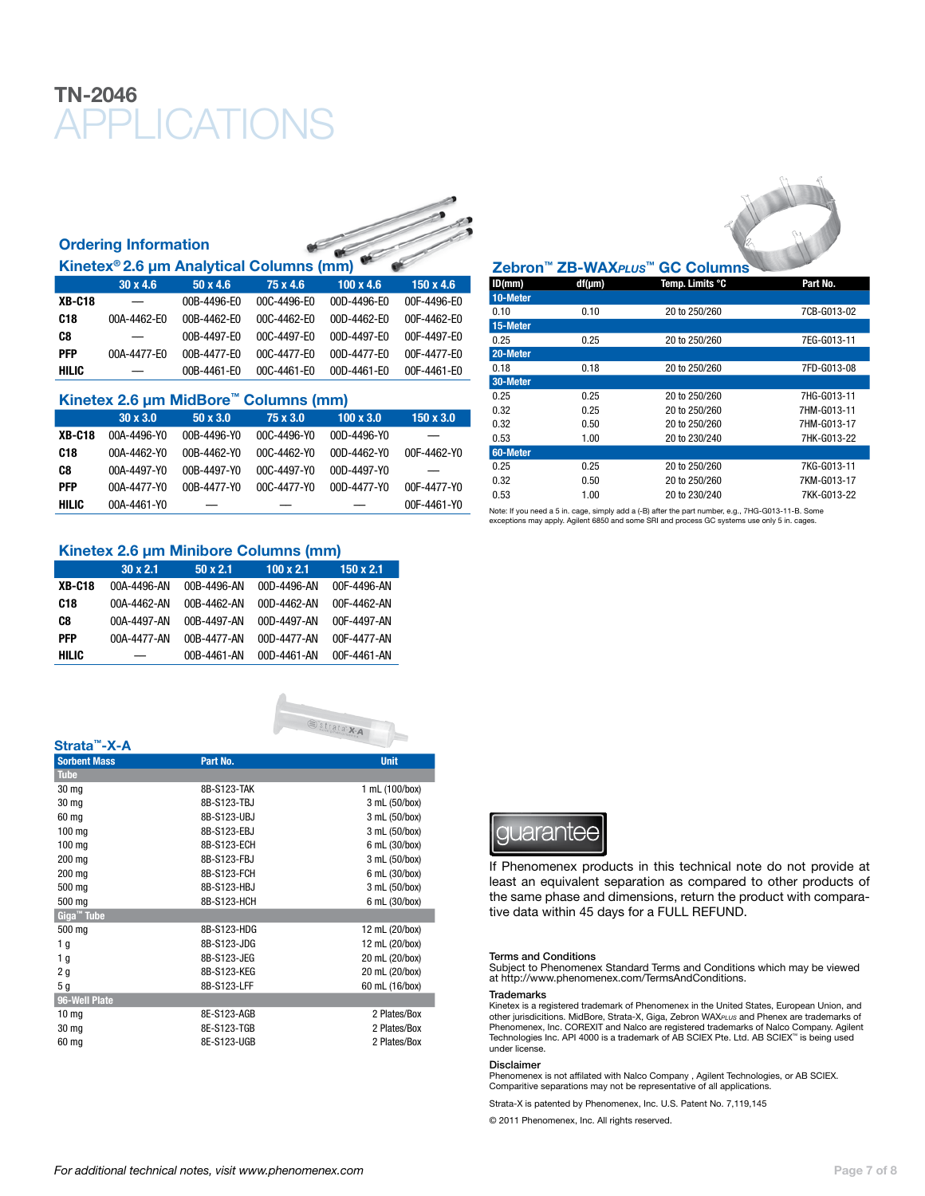## Ordering Information Kinetex® 2.6 μm Analytical Columns (mm)

| 1            |                 |                 |                   |                  |                  |
|--------------|-----------------|-----------------|-------------------|------------------|------------------|
|              | $30 \times 4.6$ | $50 \times 4.6$ | 75 x 4.6          | $100 \times 4.6$ | $150 \times 4.6$ |
| XB-C18       |                 | 00B-4496-E0     | 00C-4496-E0       | 00D-4496-F0      | 00F-4496-E0      |
| C18          | 00A-4462-E0     | 00B-4462-F0     | 00C-4462-E0       | $00D-4462-F0$    | 00F-4462-E0      |
| C8           | —               | 00B-4497-F0     | $00C - 4497 - F0$ | 00D-4497-F0      | 00F-4497-E0      |
| PFP          | 00A-4477-E0     | 00B-4477-F0     | 00C-4477-E0       | $00D-4477-F0$    | 00F-4477-E0      |
| <b>HILIC</b> |                 | 00B-4461-E0     | 00C-4461-E0       | 00D-4461-E0      | 00F-4461-E0      |

### Kinetex 2.6 μm MidBore™ Columns (mm) 30 x 3.0 50 x 3.0 75 x 3.0 100 x 3.0 150 x 3.0 XB-C18 00A-4496-Y0 00B-4496-Y0 00C-4496-Y0 00D-4496-Y0 –– C18 00A-4462-Y0 00B-4462-Y0 00C-4462-Y0 00D-4462-Y0 00F-4462-Y0 C8 00A-4497-Y0 00B-4497-Y0 00C-4497-Y0 00D-4497-Y0 –– PFP 00A-4477-Y0 00B-4477-Y0 00C-4477-Y0 00D-4477-Y0 00F-4477-Y0 HILIC 00A-4461-Y0 –– –– –– 00F-4461-Y0

## Kinetex 2.6 μm Minibore Columns (mm)

|                 | $30 \times 2.1$          | $50 \times 2.1$ | 100 x 2.1   | $150 \times 2.1$ |
|-----------------|--------------------------|-----------------|-------------|------------------|
| <b>XB-C18</b>   | 00A-4496-AN              | 00B-4496-AN     | 00D-4496-AN | 00F-4496-AN      |
| C <sub>18</sub> | 00A-4462-AN              | 00B-4462-AN     | 00D-4462-AN | 00F-4462-AN      |
| C8              | 00A-4497-AN              | 00B-4497-AN     | 00D-4497-AN | 00F-4497-AN      |
| PFP             | 00A-4477-AN              | 00B-4477-AN     | 00D-4477-AN | 00F-4477-AN      |
| HILIC           | $\overline{\phantom{m}}$ | 00B-4461-AN     | 00D-4461-AN | 00F-4461-AN      |





### Zebron™ ZB-WAX*PLUS*™ GC Columns

| ID(mm)   | df(µm) | Temp. Limits °C | Part No.    |
|----------|--------|-----------------|-------------|
| 10-Meter |        |                 |             |
| 0.10     | 0.10   | 20 to 250/260   | 7CB-G013-02 |
| 15-Meter |        |                 |             |
| 0.25     | 0.25   | 20 to 250/260   | 7EG-G013-11 |
| 20-Meter |        |                 |             |
| 0.18     | 0.18   | 20 to 250/260   | 7FD-G013-08 |
| 30-Meter |        |                 |             |
| 0.25     | 0.25   | 20 to 250/260   | 7HG-G013-11 |
| 0.32     | 0.25   | 20 to 250/260   | 7HM-G013-11 |
| 0.32     | 0.50   | 20 to 250/260   | 7HM-G013-17 |
| 0.53     | 1.00   | 20 to 230/240   | 7HK-G013-22 |
| 60-Meter |        |                 |             |
| 0.25     | 0.25   | 20 to 250/260   | 7KG-G013-11 |
| 0.32     | 0.50   | 20 to 250/260   | 7KM-G013-17 |
| 0.53     | 1.00   | 20 to 230/240   | 7KK-G013-22 |

Note: If you need a 5 in. cage, simply add a (-B) after the part number, e.g., 7HG-G013-11-B. Some exceptions may apply. Agilent 6850 and some SRI and process GC systems use only 5 in. cages.

## quarantee

If Phenomenex products in this technical note do not provide at least an equivalent separation as compared to other products of the same phase and dimensions, return the product with comparative data within 45 days for a FULL REFUND.

### Terms and Conditions

Subject to Phenomenex Standard Terms and Conditions which may be viewed at http://www.phenomenex.com/TermsAndConditions.

### Trademarks

Kinetex is a registered trademark of Phenomenex in the United States, European Union, and other jurisdicitions. MidBore, Strata-X, Giga, Zebron WAX*PLUS* and Phenex are trademarks of Phenomenex, Inc. COREXIT and Nalco are registered trademarks of Nalco Company. Agilent Technologies Inc. API 4000 is a trademark of AB Sciex Pte. Ltd. AB SCIEX™ is being used under license.

### Disclaimer

Phenomenex is not affilated with Nalco Company, Agilent Technologies, or AB SCIEX. Comparitive separations may not be representative of all applications.

Strata-X is patented by Phenomenex, Inc. U.S. Patent No. 7,119,145

© 2011 Phenomenex, Inc. All rights reserved.